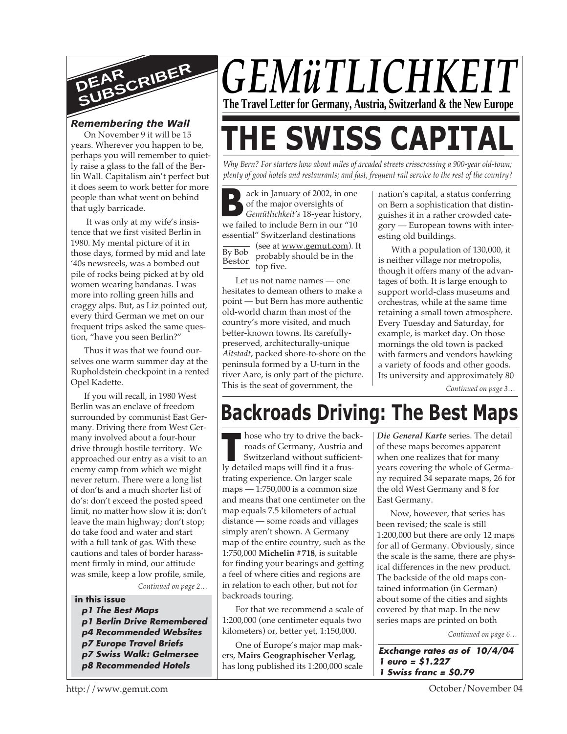

#### *Remembering the Wall*

On November 9 it will be 15 years. Wherever you happen to be, perhaps you will remember to quietly raise a glass to the fall of the Berlin Wall. Capitalism ain't perfect but it does seem to work better for more people than what went on behind that ugly barricade.

 It was only at my wife's insistence that we first visited Berlin in 1980. My mental picture of it in those days, formed by mid and late '40s newsreels, was a bombed out pile of rocks being picked at by old women wearing bandanas. I was more into rolling green hills and craggy alps. But, as Liz pointed out, every third German we met on our frequent trips asked the same question, "have you seen Berlin?"

Thus it was that we found ourselves one warm summer day at the Rupholdstein checkpoint in a rented Opel Kadette.

If you will recall, in 1980 West Berlin was an enclave of freedom surrounded by communist East Germany. Driving there from West Germany involved about a four-hour drive through hostile territory. We approached our entry as a visit to an enemy camp from which we might never return. There were a long list of don'ts and a much shorter list of do's: don't exceed the posted speed limit, no matter how slow it is; don't leave the main highway; don't stop; do take food and water and start with a full tank of gas. With these cautions and tales of border harassment firmly in mind, our attitude was smile, keep a low profile, smile,

*Continued on page 2…*

#### **in this issue**

- **p1 The Best Maps**
- **p1 Berlin Drive Remembered**
- **p4 Recommended Websites**
- **p7 Europe Travel Briefs**
- **p7 Swiss Walk: Gelmersee**
- **p8 Recommended Hotels**

## *GEMüTLICHKEIT* **The Travel Letter for Germany, Austria, Switzerland & the New Europe**

# **THE SWISS CAPITAL**

*Why Bern? For starters how about miles of arcaded streets crisscrossing a 900-year old-town; plenty of good hotels and restaurants; and fast, frequent rail service to the rest of the country?*

**B Example 12002**, in one<br>
of the major oversights of<br>
Gemütlichkeit's 18-year history<br>
we failed to include Bern in our "10  $\frac{1}{\text{By Bob}}$  (see at <u>www.gemut.com</u>). It Bestor ack in January of 2002, in one of the major oversights of *Gemütlichkeit's* 18-year history, essential" Switzerland destinations probably should be in the top five.

Let us not name names - one hesitates to demean others to make a point — but Bern has more authentic old-world charm than most of the country's more visited, and much better-known towns. Its carefullypreserved, architecturally-unique *Altstadt*, packed shore-to-shore on the peninsula formed by a U-turn in the river Aare, is only part of the picture. This is the seat of government, the

nation's capital, a status conferring on Bern a sophistication that distinguishes it in a rather crowded category — European towns with interesting old buildings.

With a population of 130,000, it is neither village nor metropolis, though it offers many of the advantages of both. It is large enough to support world-class museums and orchestras, while at the same time retaining a small town atmosphere. Every Tuesday and Saturday, for example, is market day. On those mornings the old town is packed with farmers and vendors hawking a variety of foods and other goods. Its university and approximately 80

*Continued on page 3…*

### **Backroads Driving: The Best Maps**

**THE MANUS IS NOTE THANK IS NOTE THANK IS SO THE SET OF A SWITZER AND SWITZER AND RELATION OF A FIGURE 2013 OF A framework of the state of the state of the state of the state of the state of the state of the state of the s** hose who try to drive the backroads of Germany, Austria and Switzerland without sufficienttrating experience. On larger scale maps — 1:750,000 is a common size and means that one centimeter on the map equals 7.5 kilometers of actual distance — some roads and villages simply aren't shown. A Germany map of the entire country, such as the 1:750,000 **Michelin #718**, is suitable for finding your bearings and getting a feel of where cities and regions are in relation to each other, but not for backroads touring.

For that we recommend a scale of 1:200,000 (one centimeter equals two kilometers) or, better yet, 1:150,000.

One of Europe's major map makers, **Mairs Geographischer Verlag**, has long published its 1:200,000 scale *Die General Karte* series. The detail of these maps becomes apparent when one realizes that for many years covering the whole of Germany required 34 separate maps, 26 for the old West Germany and 8 for East Germany.

Now, however, that series has been revised; the scale is still 1:200,000 but there are only 12 maps for all of Germany. Obviously, since the scale is the same, there are physical differences in the new product. The backside of the old maps contained information (in German) about some of the cities and sights covered by that map. In the new series maps are printed on both

*Continued on page 6…*

**Exchange rates as of 10/4/04 1 euro = \$1.227 1 Swiss franc = \$0.79**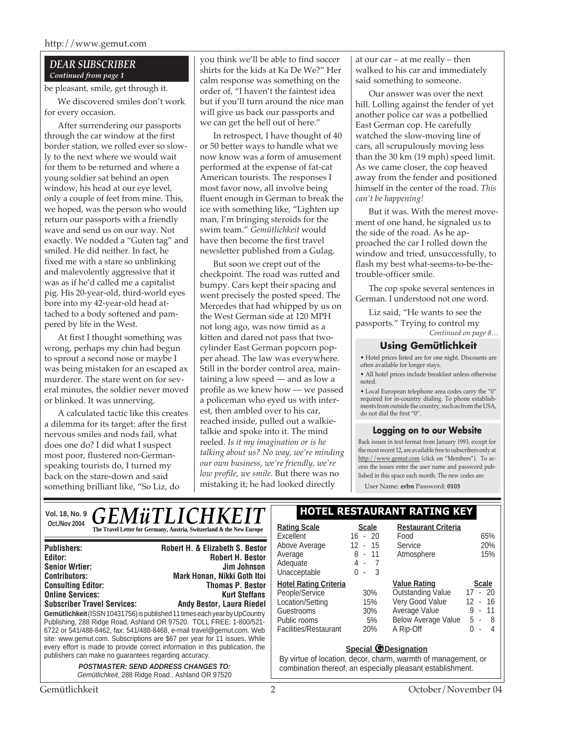#### *DEAR SUBSCRIBER Continued from page 1*

be pleasant, smile, get through it.

We discovered smiles don't work for every occasion.

After surrendering our passports through the car window at the first border station, we rolled ever so slowly to the next where we would wait for them to be returned and where a young soldier sat behind an open window, his head at our eye level, only a couple of feet from mine. This, we hoped, was the person who would return our passports with a friendly wave and send us on our way. Not exactly. We nodded a "Guten tag" and smiled. He did neither. In fact, he fixed me with a stare so unblinking and malevolently aggressive that it was as if he'd called me a capitalist pig. His 20-year-old, third-world eyes bore into my 42-year-old head attached to a body softened and pampered by life in the West.

At first I thought something was wrong, perhaps my chin had begun to sprout a second nose or maybe I was being mistaken for an escaped ax murderer. The stare went on for several minutes, the soldier never moved or blinked. It was unnerving.

A calculated tactic like this creates a dilemma for its target: after the first nervous smiles and nods fail, what does one do? I did what I suspect most poor, flustered non-Germanspeaking tourists do, I turned my back on the stare-down and said something brilliant like, "So Liz, do

you think we'll be able to find soccer shirts for the kids at Ka De We?" Her calm response was something on the order of, "I haven't the faintest idea but if you'll turn around the nice man will give us back our passports and we can get the hell out of here."

In retrospect, I have thought of 40 or 50 better ways to handle what we now know was a form of amusement performed at the expense of fat-cat American tourists. The responses I most favor now, all involve being fluent enough in German to break the ice with something like, "Lighten up man, I'm bringing steroids for the swim team." *Gemütlichkeit* would have then become the first travel newsletter published from a Gulag.

But soon we crept out of the checkpoint. The road was rutted and bumpy. Cars kept their spacing and went precisely the posted speed. The Mercedes that had whipped by us on the West German side at 120 MPH not long ago, was now timid as a kitten and dared not pass that twocylinder East German popcorn popper ahead. The law was everywhere. Still in the border control area, maintaining a low speed — and as low a profile as we knew how — we passed a policeman who eyed us with interest, then ambled over to his car, reached inside, pulled out a walkietalkie and spoke into it. The mind reeled. *Is it my imagination or is he talking about us? No way, we're minding our own business, we're friendly, we're low profile, we smile.* But there was no mistaking it; he had looked directly

at our car – at me really – then walked to his car and immediately said something to someone.

Our answer was over the next hill. Lolling against the fender of yet another police car was a potbellied East German cop. He carefully watched the slow-moving line of cars, all scrupulously moving less than the 30 km (19 mph) speed limit. As we came closer, the cop heaved away from the fender and positioned himself in the center of the road. *This can't be happening!*

But it was. With the merest movement of one hand, he signaled us to the side of the road. As he approached the car I rolled down the window and tried, unsuccessfully, to flash my best what-seems-to-be-thetrouble-officer smile.

The cop spoke several sentences in German. I understood not one word.

Liz said, "He wants to see the passports." Trying to control my

*Continued on page 8…*

#### **Using Gemütlichkeit**

• Hotel prices listed are for one night. Discounts are often available for longer stays.

• All hotel prices include breakfast unless otherwise noted.

• Local European telephone area codes carry the "0" required for in-country dialing. To phone establishments from outside the country, such as from the USA, do not dial the first "0".

#### **Logging on to our Website**

Back issues in text format from January 1993, except for the most recent 12, are available free to subscribers only at http://www.gemut.com (click on "Members"). To access the issues enter the user name and password published in this space each month. The new codes are:

User Name: **erbn** Password: **0103**

#### Vol. 18, No. 9 **CEM A: THICHIVEIT | HOTEL RESTAURANT RATING KEY Oct./Nov 2004 Rating Scale**<br> **The Travel Letter for Germany, Austria, Switzerland & the New Europe** | Rating Scale <u>Scale</u> Excellent 16 - 20 **Restaurant Criteria** *GEMüTLICHKEIT*

| <b>Publishers:</b>                                                                                                                                                                                                                                                                                                                                                                                                                               | Robert H. & Elizabeth S. Bestor |  |
|--------------------------------------------------------------------------------------------------------------------------------------------------------------------------------------------------------------------------------------------------------------------------------------------------------------------------------------------------------------------------------------------------------------------------------------------------|---------------------------------|--|
| Editor:                                                                                                                                                                                                                                                                                                                                                                                                                                          | <b>Robert H. Bestor</b>         |  |
| <b>Senior Wrtier:</b>                                                                                                                                                                                                                                                                                                                                                                                                                            | <b>Jim Johnson</b>              |  |
| <b>Contributors:</b>                                                                                                                                                                                                                                                                                                                                                                                                                             | Mark Honan, Nikki Goth Itoi     |  |
| <b>Consulting Editor:</b>                                                                                                                                                                                                                                                                                                                                                                                                                        | <b>Thomas P. Bestor</b>         |  |
| <b>Online Services:</b>                                                                                                                                                                                                                                                                                                                                                                                                                          | <b>Kurt Steffans</b>            |  |
| <b>Subscriber Travel Services:</b>                                                                                                                                                                                                                                                                                                                                                                                                               | Andy Bestor, Laura Riedel       |  |
| Gemütlichkeit (ISSN 10431756) is published 11 times each year by UpCountry<br>Publishing, 288 Ridge Road, Ashland OR 97520. TOLL FREE: 1-800/521-<br>6722 or 541/488-8462, fax: 541/488-8468, e-mail travel@gemut.com. Web<br>site: www.gemut.com. Subscriptions are \$67 per year for 11 issues. While<br>every effort is made to provide correct information in this publication, the<br>publishers can make no quarantees regarding accuracy. |                                 |  |
| POSTMASTER: SEND ADDRESS CHANGES TO:                                                                                                                                                                                                                                                                                                                                                                                                             |                                 |  |

**POSTMASTER: SEND ADDRESS CHANGES TO:** Gemütlichkeit, 288 Ridge Road., Ashland OR 97520

| <b>Rating Scale</b>          | <b>Scale</b> | Restaurant Criteria        |              |
|------------------------------|--------------|----------------------------|--------------|
| Excellent                    | $16 - 20$    | Food                       | 65%          |
| Above Average                | 12 - 15      | Service                    | 20%          |
| Average                      | 8 - 11       | Atmosphere                 | 15%          |
| Adequate                     | 4 -<br>- 7   |                            |              |
| Unacceptable                 | 3<br>$\sim$  |                            |              |
| <b>Hotel Rating Criteria</b> |              | <b>Value Rating</b>        | <b>Scale</b> |
| People/Service               | 30%          | <b>Outstanding Value</b>   | $17 - 20$    |
| Location/Setting             | 15%          | Very Good Value            | $12 - 16$    |
| Guestrooms                   | 30%          | Average Value              | - 11<br>9    |
| Public rooms                 | 5%           | <b>Below Average Value</b> | 5 -<br>- 8   |
| Facilities/Restaurant        | 20%          | A Rip-Off                  | 4<br>٠       |
|                              |              |                            |              |

#### **Special C**Designation

By virtue of location, decor, charm, warmth of management, or combination thereof, an especially pleasant establishment.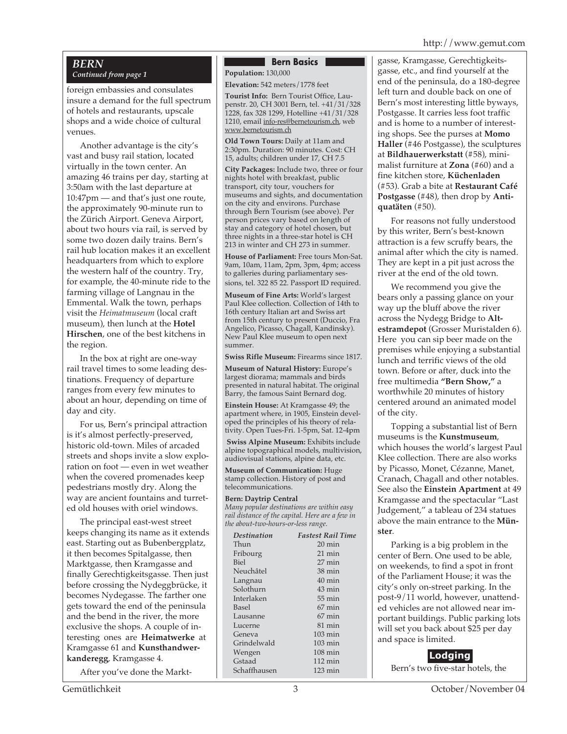#### *BERN*

*Continued from page 1*

foreign embassies and consulates insure a demand for the full spectrum of hotels and restaurants, upscale shops and a wide choice of cultural venues.

Another advantage is the city's vast and busy rail station, located virtually in the town center. An amazing 46 trains per day, starting at 3:50am with the last departure at 10:47pm — and that's just one route, the approximately 90-minute run to the Zürich Airport. Geneva Airport, about two hours via rail, is served by some two dozen daily trains. Bern's rail hub location makes it an excellent headquarters from which to explore the western half of the country. Try, for example, the 40-minute ride to the farming village of Langnau in the Emmental. Walk the town, perhaps visit the *Heimatmuseum* (local craft museum), then lunch at the **Hotel Hirschen**, one of the best kitchens in the region.

In the box at right are one-way rail travel times to some leading destinations. Frequency of departure ranges from every few minutes to about an hour, depending on time of day and city.

For us, Bern's principal attraction is it's almost perfectly-preserved, historic old-town. Miles of arcaded streets and shops invite a slow exploration on foot — even in wet weather when the covered promenades keep pedestrians mostly dry. Along the way are ancient fountains and turreted old houses with oriel windows.

The principal east-west street keeps changing its name as it extends east. Starting out as Bubenbergplatz, it then becomes Spitalgasse, then Marktgasse, then Kramgasse and finally Gerechtigkeitsgasse. Then just before crossing the Nydeggbrücke, it becomes Nydegasse. The farther one gets toward the end of the peninsula and the bend in the river, the more exclusive the shops. A couple of interesting ones are **Heimatwerke** at Kramgasse 61 and **Kunsthandwerkanderegg**, Kramgasse 4.

After you've done the Markt-

#### **Bern Basics**

**Population:** 130,000

**Elevation:** 542 meters/1778 feet

**Tourist Info:** Bern Tourist Office, Laupenstr. 20, CH 3001 Bern, tel. +41/31/328 1228, fax 328 1299, Hotelline +41/31/328 1210, email info-res@bernetourism.ch, web www.bernetourism.ch

**Old Town Tours:** Daily at 11am and 2:30pm. Duration: 90 minutes. Cost: CH 15, adults; children under 17, CH 7.5

**City Packages:** Include two, three or four nights hotel with breakfast, public transport, city tour, vouchers for museums and sights, and documentation on the city and environs. Purchase through Bern Tourism (see above). Per person prices vary based on length of stay and category of hotel chosen, but three nights in a three-star hotel is CH 213 in winter and CH 273 in summer.

**House of Parliament:** Free tours Mon-Sat. 9am, 10am, 11am, 2pm, 3pm, 4pm; access to galleries during parliamentary sessions, tel. 322 85 22. Passport ID required.

**Museum of Fine Arts:** World's largest Paul Klee collection. Collection of 14th to 16th century Italian art and Swiss art from 15th century to present (Duccio, Fra Angelico, Picasso, Chagall, Kandinsky). New Paul Klee museum to open next summer.

**Swiss Rifle Museum:** Firearms since 1817.

**Museum of Natural History:** Europe's largest diorama; mammals and birds presented in natural habitat. The original Barry, the famous Saint Bernard dog.

**Einstein House:** At Kramgasse 49; the apartment where, in 1905, Einstein developed the principles of his theory of relativity. Open Tues-Fri. 1-5pm, Sat. 12-4pm

**Swiss Alpine Museum:** Exhibits include alpine topographical models, multivision, audiovisual stations, alpine data, etc.

**Museum of Communication:** Huge stamp collection. History of post and telecommunications.

#### **Bern: Daytrip Central**

*Many popular destinations are within easy rail distance of the capital. Here are a few in the about-two-hours-or-less range.*

| Destination  | <b>Fastest Rail Time</b> |
|--------------|--------------------------|
| Thun         | $20 \text{ min}$         |
| Fribourg     | $21 \text{ min}$         |
| <b>Biel</b>  | $27 \text{ min}$         |
| Neuchâtel    | $38 \text{ min}$         |
| Langnau      | $40 \text{ min}$         |
| Solothurn    | $43 \text{ min}$         |
| Interlaken   | $55 \text{ min}$         |
| Basel        | $67 \text{ min}$         |
| Lausanne     | $67$ min                 |
| Lucerne      | $81 \text{ min}$         |
| Geneva       | $103 \text{ min}$        |
| Grindelwald  | $103 \text{ min}$        |
| Wengen       | $108 \text{ min}$        |
| Gstaad       | $112 \text{ min}$        |
| Schaffhausen | $123 \text{ min}$        |
|              |                          |

gasse, Kramgasse, Gerechtigkeitsgasse, etc., and find yourself at the end of the peninsula, do a 180-degree left turn and double back on one of Bern's most interesting little byways, Postgasse. It carries less foot traffic and is home to a number of interesting shops. See the purses at **Momo Haller** (#46 Postgasse), the sculptures at **Bildhauerwerkstatt** (#58), minimalist furniture at **Zona** (#60) and a fine kitchen store, **Küchenladen** (#53). Grab a bite at **Restaurant Café Postgasse** (#48), then drop by **Antiquatäten** (#50).

For reasons not fully understood by this writer, Bern's best-known attraction is a few scruffy bears, the animal after which the city is named. They are kept in a pit just across the river at the end of the old town.

We recommend you give the bears only a passing glance on your way up the bluff above the river across the Nydegg Bridge to **Altestramdepot** (Grosser Muristalden 6). Here you can sip beer made on the premises while enjoying a substantial lunch and terrific views of the old town. Before or after, duck into the free multimedia **"Bern Show,"** a worthwhile 20 minutes of history centered around an animated model of the city.

Topping a substantial list of Bern museums is the **Kunstmuseum**, which houses the world's largest Paul Klee collection. There are also works by Picasso, Monet, Cézanne, Manet, Cranach, Chagall and other notables. See also the **Einstein Apartment** at 49 Kramgasse and the spectacular "Last Judgement," a tableau of 234 statues above the main entrance to the **Münster**.

Parking is a big problem in the center of Bern. One used to be able, on weekends, to find a spot in front of the Parliament House; it was the city's only on-street parking. In the post-9/11 world, however, unattended vehicles are not allowed near important buildings. Public parking lots will set you back about \$25 per day and space is limited.

#### **Lodging**

Bern's two five-star hotels, the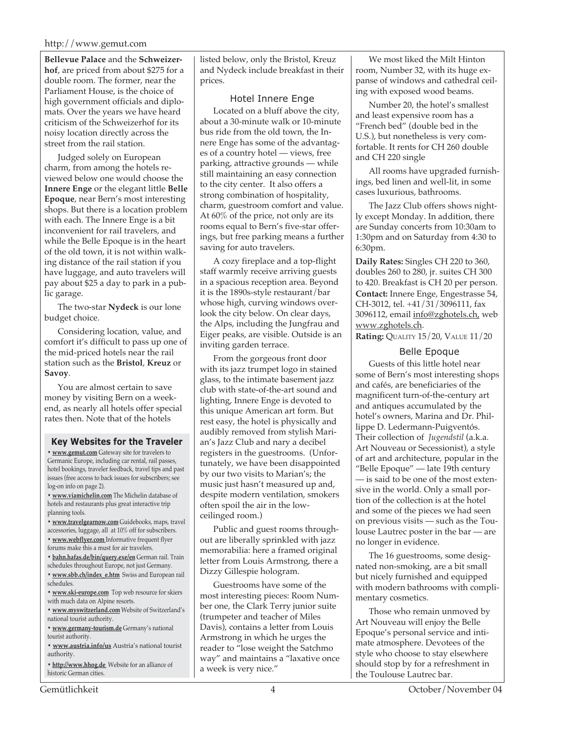**Bellevue Palace** and the **Schweizerhof**, are priced from about \$275 for a double room. The former, near the Parliament House, is the choice of high government officials and diplomats. Over the years we have heard criticism of the Schweizerhof for its noisy location directly across the street from the rail station.

Judged solely on European charm, from among the hotels reviewed below one would choose the **Innere Enge** or the elegant little **Belle Epoque**, near Bern's most interesting shops. But there is a location problem with each. The Innere Enge is a bit inconvenient for rail travelers, and while the Belle Epoque is in the heart of the old town, it is not within walking distance of the rail station if you have luggage, and auto travelers will pay about \$25 a day to park in a public garage.

The two-star **Nydeck** is our lone budget choice.

Considering location, value, and comfort it's difficult to pass up one of the mid-priced hotels near the rail station such as the **Bristol**, **Kreuz** or **Savoy**.

You are almost certain to save money by visiting Bern on a weekend, as nearly all hotels offer special rates then. Note that of the hotels

#### **Key Websites for the Traveler**

**• www.gemut.com** Gateway site for travelers to Germanic Europe, including car rental, rail passes, hotel bookings, traveler feedback, travel tips and past issues (free access to back issues for subscribers; see log-on info on page 2).

**• www.viamichelin.com** The Michelin database of hotels and restaurants plus great interactive trip planning tools.

**• www.travelgearnow.com** Guidebooks, maps, travel accessories, luggage, all at 10% off for subscribers.

- **www.webflyer.com** Informative frequent flyer forums make this a must for air travelers.
- **bahn.hafas.de/bin/query.exe/en** German rail. Train
- schedules throughout Europe, not just Germany.
- **www.sbb.ch/index\_e.htm** Swiss and European rail schedules.
- **www.ski-europe.com** Top web resource for skiers with much data on Alpine resorts.
- **www.myswitzerland.com** Website of Switzerland's national tourist authority.
- **www.germany-tourism.de** Germany's national tourist authority.
- **www.austria.info/us** Austria's national tourist authority.
- **http://www.hhog.de** Website for an alliance of historic German cities.

listed below, only the Bristol, Kreuz and Nydeck include breakfast in their prices.

#### Hotel Innere Enge

Located on a bluff above the city, about a 30-minute walk or 10-minute bus ride from the old town, the Innere Enge has some of the advantages of a country hotel — views, free parking, attractive grounds — while still maintaining an easy connection to the city center. It also offers a strong combination of hospitality, charm, guestroom comfort and value. At 60% of the price, not only are its rooms equal to Bern's five-star offerings, but free parking means a further saving for auto travelers.

A cozy fireplace and a top-flight staff warmly receive arriving guests in a spacious reception area. Beyond it is the 1890s-style restaurant/bar whose high, curving windows overlook the city below. On clear days, the Alps, including the Jungfrau and Eiger peaks, are visible. Outside is an inviting garden terrace.

From the gorgeous front door with its jazz trumpet logo in stained glass, to the intimate basement jazz club with state-of-the-art sound and lighting, Innere Enge is devoted to this unique American art form. But rest easy, the hotel is physically and audibly removed from stylish Marian's Jazz Club and nary a decibel registers in the guestrooms. (Unfortunately, we have been disappointed by our two visits to Marian's; the music just hasn't measured up and, despite modern ventilation, smokers often spoil the air in the lowceilinged room.)

Public and guest rooms throughout are liberally sprinkled with jazz memorabilia: here a framed original letter from Louis Armstrong, there a Dizzy Gillespie hologram.

Guestrooms have some of the most interesting pieces: Room Number one, the Clark Terry junior suite (trumpeter and teacher of Miles Davis), contains a letter from Louis Armstrong in which he urges the reader to "lose weight the Satchmo way" and maintains a "laxative once a week is very nice."

We most liked the Milt Hinton room, Number 32, with its huge expanse of windows and cathedral ceiling with exposed wood beams.

Number 20, the hotel's smallest and least expensive room has a "French bed" (double bed in the U.S.), but nonetheless is very comfortable. It rents for CH 260 double and CH 220 single

All rooms have upgraded furnishings, bed linen and well-lit, in some cases luxurious, bathrooms.

The Jazz Club offers shows nightly except Monday. In addition, there are Sunday concerts from 10:30am to 1:30pm and on Saturday from 4:30 to 6:30pm.

**Daily Rates:** Singles CH 220 to 360, doubles 260 to 280, jr. suites CH 300 to 420. Breakfast is CH 20 per person. **Contact:** Innere Enge, Engestrasse 54, CH-3012, tel. +41/31/3096111, fax 3096112, email info@zghotels.ch, web www.zghotels.ch.

**Rating:** QUALITY 15/20, VALUE 11/20

#### Belle Epoque

Guests of this little hotel near some of Bern's most interesting shops and cafés, are beneficiaries of the magnificent turn-of-the-century art and antiques accumulated by the hotel's owners, Marina and Dr. Phillippe D. Ledermann-Puigventós. Their collection of *Jugendstil* (a.k.a. Art Nouveau or Secessionist), a style of art and architecture, popular in the "Belle Epoque" — late 19th century — is said to be one of the most extensive in the world. Only a small portion of the collection is at the hotel and some of the pieces we had seen on previous visits — such as the Toulouse Lautrec poster in the bar — are no longer in evidence.

The 16 guestrooms, some designated non-smoking, are a bit small but nicely furnished and equipped with modern bathrooms with complimentary cosmetics.

Those who remain unmoved by Art Nouveau will enjoy the Belle Epoque's personal service and intimate atmosphere. Devotees of the style who choose to stay elsewhere should stop by for a refreshment in the Toulouse Lautrec bar.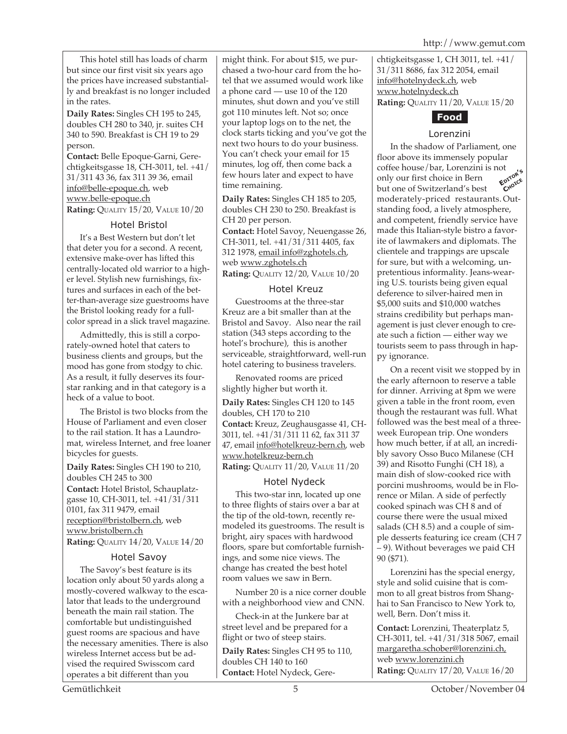This hotel still has loads of charm but since our first visit six years ago the prices have increased substantially and breakfast is no longer included in the rates.

**Daily Rates:** Singles CH 195 to 245, doubles CH 280 to 340, jr. suites CH 340 to 590. Breakfast is CH 19 to 29 person.

**Contact:** Belle Epoque-Garni, Gerechtigkeitsgasse 18, CH-3011, tel. +41/ 31/311 43 36, fax 311 39 36, email info@belle-epoque.ch, web www.belle-epoque.ch **Rating:** QUALITY 15/20, VALUE 10/20

Hotel Bristol

It's a Best Western but don't let that deter you for a second. A recent, extensive make-over has lifted this centrally-located old warrior to a higher level. Stylish new furnishings, fixtures and surfaces in each of the better-than-average size guestrooms have the Bristol looking ready for a fullcolor spread in a slick travel magazine.

Admittedly, this is still a corporately-owned hotel that caters to business clients and groups, but the mood has gone from stodgy to chic. As a result, it fully deserves its fourstar ranking and in that category is a heck of a value to boot.

The Bristol is two blocks from the House of Parliament and even closer to the rail station. It has a Laundromat, wireless Internet, and free loaner bicycles for guests.

**Daily Rates:** Singles CH 190 to 210, doubles CH 245 to 300 **Contact:** Hotel Bristol, Schauplatzgasse 10, CH-3011, tel. +41/31/311 0101, fax 311 9479, email reception@bristolbern.ch, web www.bristolbern.ch **Rating:** QUALITY 14/20, VALUE 14/20

#### Hotel Savoy

The Savoy's best feature is its location only about 50 yards along a mostly-covered walkway to the escalator that leads to the underground beneath the main rail station. The comfortable but undistinguished guest rooms are spacious and have the necessary amenities. There is also wireless Internet access but be advised the required Swisscom card operates a bit different than you

might think. For about \$15, we purchased a two-hour card from the hotel that we assumed would work like a phone card — use 10 of the 120 minutes, shut down and you've still got 110 minutes left. Not so; once your laptop logs on to the net, the clock starts ticking and you've got the next two hours to do your business. You can't check your email for 15 minutes, log off, then come back a few hours later and expect to have time remaining.

**Daily Rates:** Singles CH 185 to 205, doubles CH 230 to 250. Breakfast is CH 20 per person. **Contact:** Hotel Savoy, Neuengasse 26, CH-3011, tel. +41/31/311 4405, fax 312 1978, email info@zghotels.ch, web www.zghotels.ch

**Rating:** QUALITY 12/20, VALUE 10/20

#### Hotel Kreuz

Guestrooms at the three-star Kreuz are a bit smaller than at the Bristol and Savoy. Also near the rail station (343 steps according to the hotel's brochure), this is another serviceable, straightforward, well-run hotel catering to business travelers.

Renovated rooms are priced slightly higher but worth it.

**Daily Rates:** Singles CH 120 to 145 doubles, CH 170 to 210 **Contact:** Kreuz, Zeughausgasse 41, CH-3011, tel. +41/31/311 11 62, fax 311 37 47, email info@hotelkreuz-bern.ch, web www.hotelkreuz-bern.ch

**Rating:** QUALITY 11/20, VALUE 11/20

#### Hotel Nydeck

This two-star inn, located up one to three flights of stairs over a bar at the tip of the old-town, recently remodeled its guestrooms. The result is bright, airy spaces with hardwood floors, spare but comfortable furnishings, and some nice views. The change has created the best hotel room values we saw in Bern.

Number 20 is a nice corner double with a neighborhood view and CNN.

Check-in at the Junkere bar at street level and be prepared for a flight or two of steep stairs.

**Daily Rates:** Singles CH 95 to 110, doubles CH 140 to 160 **Contact:** Hotel Nydeck, Gerechtigkeitsgasse 1, CH 3011, tel. +41/ 31/311 8686, fax 312 2054, email info@hotelnydeck.ch, web www.hotelnydeck.ch **Rating:** QUALITY 11/20, VALUE 15/20



#### Lorenzini

In the shadow of Parliament, one floor above its immensely popular coffee house/bar, Lorenzini is not only our first choice in Bern but one of Switzerland's best moderately-priced restaurants. Outstanding food, a lively atmosphere, and competent, friendly service have made this Italian-style bistro a favorite of lawmakers and diplomats. The clientele and trappings are upscale for sure, but with a welcoming, unpretentious informality. Jeans-wearing U.S. tourists being given equal deference to silver-haired men in \$5,000 suits and \$10,000 watches strains credibility but perhaps management is just clever enough to create such a fiction — either way we tourists seem to pass through in happy ignorance. **EDITOR'<sup>S</sup> CHOICE**

On a recent visit we stopped by in the early afternoon to reserve a table for dinner. Arriving at 8pm we were given a table in the front room, even though the restaurant was full. What followed was the best meal of a threeweek European trip. One wonders how much better, if at all, an incredibly savory Osso Buco Milanese (CH 39) and Risotto Funghi (CH 18), a main dish of slow-cooked rice with porcini mushrooms, would be in Florence or Milan. A side of perfectly cooked spinach was CH 8 and of course there were the usual mixed salads (CH 8.5) and a couple of simple desserts featuring ice cream (CH 7 – 9). Without beverages we paid CH 90 (\$71).

Lorenzini has the special energy, style and solid cuisine that is common to all great bistros from Shanghai to San Francisco to New York to, well, Bern. Don't miss it.

**Contact:** Lorenzini, Theaterplatz 5, CH-3011, tel. +41/31/318 5067, email margaretha.schober@lorenzini.ch, web www.lorenzini.ch **Rating:** QUALITY 17/20, VALUE 16/20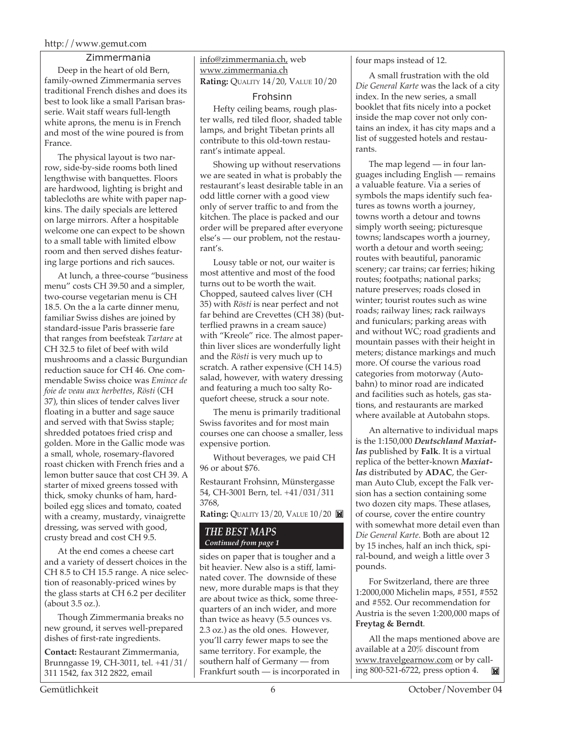#### Zimmermania

Deep in the heart of old Bern, family-owned Zimmermania serves traditional French dishes and does its best to look like a small Parisan brasserie. Wait staff wears full-length white aprons, the menu is in French and most of the wine poured is from France.

The physical layout is two narrow, side-by-side rooms both lined lengthwise with banquettes. Floors are hardwood, lighting is bright and tablecloths are white with paper napkins. The daily specials are lettered on large mirrors. After a hospitable welcome one can expect to be shown to a small table with limited elbow room and then served dishes featuring large portions and rich sauces.

At lunch, a three-course "business menu" costs CH 39.50 and a simpler, two-course vegetarian menu is CH 18.5. On the a la carte dinner menu, familiar Swiss dishes are joined by standard-issue Paris brasserie fare that ranges from beefsteak *Tartare* at CH 32.5 to filet of beef with wild mushrooms and a classic Burgundian reduction sauce for CH 46. One commendable Swiss choice was *Emince de foie de veau aux herbettes*, *Rösti* (CH 37), thin slices of tender calves liver floating in a butter and sage sauce and served with that Swiss staple; shredded potatoes fried crisp and golden. More in the Gallic mode was a small, whole, rosemary-flavored roast chicken with French fries and a lemon butter sauce that cost CH 39. A starter of mixed greens tossed with thick, smoky chunks of ham, hardboiled egg slices and tomato, coated with a creamy, mustardy, vinaigrette dressing, was served with good, crusty bread and cost CH 9.5.

At the end comes a cheese cart and a variety of dessert choices in the CH 8.5 to CH 15.5 range. A nice selection of reasonably-priced wines by the glass starts at CH 6.2 per deciliter (about 3.5 oz.).

Though Zimmermania breaks no new ground, it serves well-prepared dishes of first-rate ingredients.

**Contact:** Restaurant Zimmermania, Brunngasse 19, CH-3011, tel. +41/31/ 311 1542, fax 312 2822, email

#### info@zimmermania.ch, web www.zimmermania.ch **Rating:** QUALITY 14/20, VALUE 10/20

#### Frohsinn

Hefty ceiling beams, rough plaster walls, red tiled floor, shaded table lamps, and bright Tibetan prints all contribute to this old-town restaurant's intimate appeal.

Showing up without reservations we are seated in what is probably the restaurant's least desirable table in an odd little corner with a good view only of server traffic to and from the kitchen. The place is packed and our order will be prepared after everyone else's — our problem, not the restaurant's.

Lousy table or not, our waiter is most attentive and most of the food turns out to be worth the wait. Chopped, sauteed calves liver (CH 35) with *Rösti* is near perfect and not far behind are Crevettes (CH 38) (butterflied prawns in a cream sauce) with "Kreole" rice. The almost paperthin liver slices are wonderfully light and the *Rösti* is very much up to scratch. A rather expensive (CH 14.5) salad, however, with watery dressing and featuring a much too salty Roquefort cheese, struck a sour note.

The menu is primarily traditional Swiss favorites and for most main courses one can choose a smaller, less expensive portion.

Without beverages, we paid CH 96 or about \$76.

Restaurant Frohsinn, Münstergasse 54, CH-3001 Bern, tel. +41/031/311 3768,

**Rating: QUALITY 13/20, VALUE 10/20** 

#### *THE BEST MAPS Continued from page 1*

sides on paper that is tougher and a bit heavier. New also is a stiff, laminated cover. The downside of these new, more durable maps is that they are about twice as thick, some threequarters of an inch wider, and more than twice as heavy (5.5 ounces vs. 2.3 oz.) as the old ones. However, you'll carry fewer maps to see the same territory. For example, the southern half of Germany — from Frankfurt south — is incorporated in

#### four maps instead of 12.

A small frustration with the old *Die General Karte* was the lack of a city index. In the new series, a small booklet that fits nicely into a pocket inside the map cover not only contains an index, it has city maps and a list of suggested hotels and restaurants.

The map legend — in four languages including English — remains a valuable feature. Via a series of symbols the maps identify such features as towns worth a journey, towns worth a detour and towns simply worth seeing; picturesque towns; landscapes worth a journey, worth a detour and worth seeing; routes with beautiful, panoramic scenery; car trains; car ferries; hiking routes; footpaths; national parks; nature preserves; roads closed in winter; tourist routes such as wine roads; railway lines; rack railways and funiculars; parking areas with and without WC; road gradients and mountain passes with their height in meters; distance markings and much more. Of course the various road categories from motorway (Autobahn) to minor road are indicated and facilities such as hotels, gas stations, and restaurants are marked where available at Autobahn stops.

An alternative to individual maps is the 1:150,000 *Deutschland Maxiatlas* published by **Falk**. It is a virtual replica of the better-known *Maxiatlas* distributed by **ADAC**, the German Auto Club, except the Falk version has a section containing some two dozen city maps. These atlases, of course, cover the entire country with somewhat more detail even than *Die General Karte*. Both are about 12 by 15 inches, half an inch thick, spiral-bound, and weigh a little over 3 pounds.

For Switzerland, there are three 1:2000,000 Michelin maps, #551, #552 and #552. Our recommendation for Austria is the seven 1:200,000 maps of **Freytag & Berndt**.

All the maps mentioned above are available at a 20% discount from www.travelgearnow.com or by calling 800-521-6722, press option 4. **IN**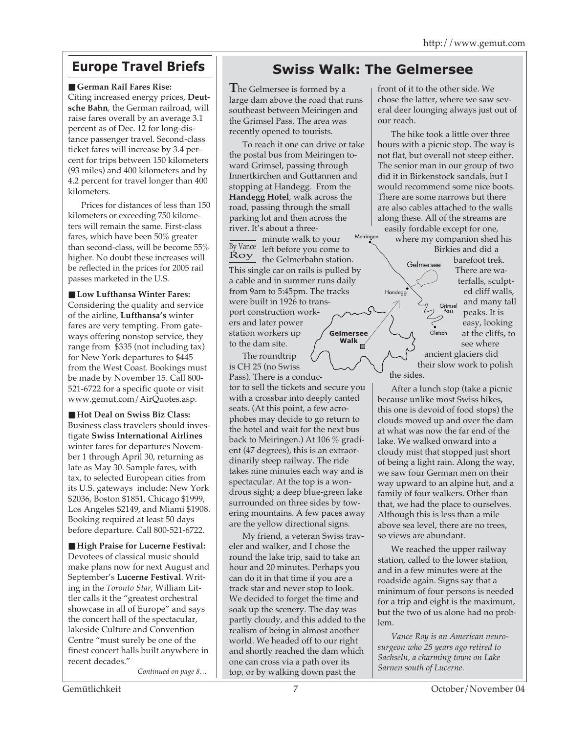■ German Rail Fares Rise:

Citing increased energy prices, **Deutsche Bahn**, the German railroad, will raise fares overall by an average 3.1 percent as of Dec. 12 for long-distance passenger travel. Second-class ticket fares will increase by 3.4 percent for trips between 150 kilometers (93 miles) and 400 kilometers and by 4.2 percent for travel longer than 400 kilometers.

Prices for distances of less than 150 kilometers or exceeding 750 kilometers will remain the same. First-class fares, which have been 50% greater than second-class, will be become 55% higher. No doubt these increases will be reflected in the prices for 2005 rail passes marketed in the U.S.

■ Low Lufthansa Winter Fares: Considering the quality and service of the airline, **Lufthansa's** winter fares are very tempting. From gateways offering nonstop service, they range from \$335 (not including tax) for New York departures to \$445 from the West Coast. Bookings must be made by November 15. Call 800- 521-6722 for a specific quote or visit www.gemut.com/AirQuotes.asp.

■ **Hot Deal on Swiss Biz Class:** Business class travelers should investigate **Swiss International Airlines** winter fares for departures November 1 through April 30, returning as late as May 30. Sample fares, with tax, to selected European cities from its U.S. gateways include: New York \$2036, Boston \$1851, Chicago \$1999, Los Angeles \$2149, and Miami \$1908. Booking required at least 50 days before departure. Call 800-521-6722.

■ **High Praise for Lucerne Festival:** Devotees of classical music should make plans now for next August and September's **Lucerne Festival**. Writing in the *Toronto Star,* William Littler calls it the "greatest orchestral showcase in all of Europe" and says the concert hall of the spectacular, lakeside Culture and Convention Centre "must surely be one of the finest concert halls built anywhere in recent decades."

*Continued on page 8…*

### **Europe Travel Briefs Swiss Walk: The Gelmersee**

Handegg

**T**he Gelmersee is formed by a large dam above the road that runs southeast between Meiringen and the Grimsel Pass. The area was recently opened to tourists.

To reach it one can drive or take the postal bus from Meiringen toward Grimsel, passing through Innertkirchen and Guttannen and stopping at Handegg. From the **Handegg Hotel**, walk across the road, passing through the small parking lot and then across the river. It's about a three-

- minute walk to your By Vance left before you come to  $\frac{Roy}{T}$  the Gelmerbahn station. This single car on rails is pulled by a cable and in summer runs daily from 9am to 5:45pm. The tracks were built in 1926 to transport construction workers and later power station workers up to the dam site. **Gelmersee Walk** Meiringen

The roundtrip is CH 25 (no Swiss Pass). There is a conduc-

tor to sell the tickets and secure you with a crossbar into deeply canted seats. (At this point, a few acrophobes may decide to go return to the hotel and wait for the next bus back to Meiringen.) At 106 % gradient (47 degrees), this is an extraordinarily steep railway. The ride takes nine minutes each way and is spectacular. At the top is a wondrous sight; a deep blue-green lake surrounded on three sides by towering mountains. A few paces away are the yellow directional signs.

My friend, a veteran Swiss traveler and walker, and I chose the round the lake trip, said to take an hour and 20 minutes. Perhaps you can do it in that time if you are a track star and never stop to look. We decided to forget the time and soak up the scenery. The day was partly cloudy, and this added to the realism of being in almost another world. We headed off to our right and shortly reached the dam which one can cross via a path over its top, or by walking down past the

front of it to the other side. We chose the latter, where we saw several deer lounging always just out of our reach.

The hike took a little over three hours with a picnic stop. The way is not flat, but overall not steep either. The senior man in our group of two did it in Birkenstock sandals, but I would recommend some nice boots. There are some narrows but there are also cables attached to the walls along these. All of the streams are easily fordable except for one,

where my companion shed his Birkies and did a barefoot trek. There are waterfalls, sculpted cliff walls, and many tall peaks. It is easy, looking at the cliffs, to see where ancient glaciers did Gelmersee Grimsel Pass **Gletsch** 

#### their slow work to polish the sides.

After a lunch stop (take a picnic because unlike most Swiss hikes, this one is devoid of food stops) the clouds moved up and over the dam at what was now the far end of the lake. We walked onward into a cloudy mist that stopped just short of being a light rain. Along the way, we saw four German men on their way upward to an alpine hut, and a family of four walkers. Other than that, we had the place to ourselves. Although this is less than a mile above sea level, there are no trees, so views are abundant.

We reached the upper railway station, called to the lower station, and in a few minutes were at the roadside again. Signs say that a minimum of four persons is needed for a trip and eight is the maximum, but the two of us alone had no problem.

*Vance Roy is an American neurosurgeon who 25 years ago retired to Sachseln, a charming town on Lake Sarnen south of Lucerne.*